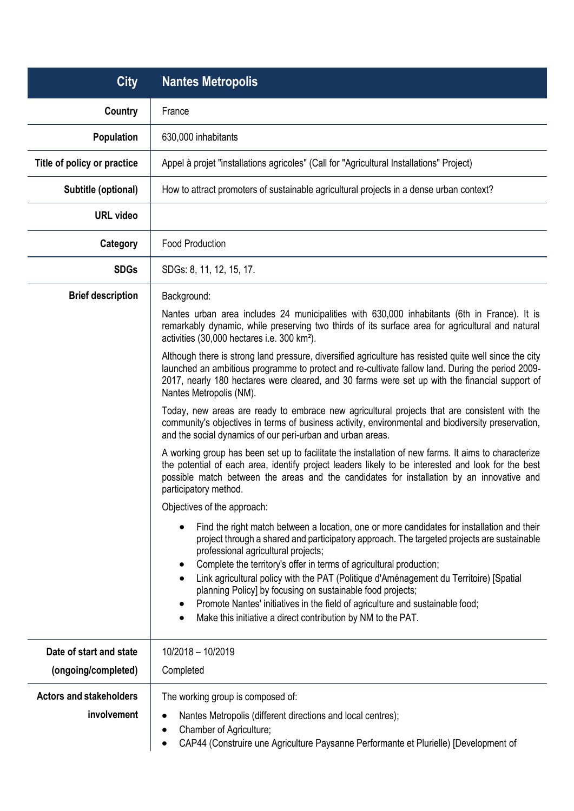| <b>City</b>                    | <b>Nantes Metropolis</b>                                                                                                                                                                                                                                                                                                                |
|--------------------------------|-----------------------------------------------------------------------------------------------------------------------------------------------------------------------------------------------------------------------------------------------------------------------------------------------------------------------------------------|
| <b>Country</b>                 | France                                                                                                                                                                                                                                                                                                                                  |
| <b>Population</b>              | 630,000 inhabitants                                                                                                                                                                                                                                                                                                                     |
| Title of policy or practice    | Appel à projet "installations agricoles" (Call for "Agricultural Installations" Project)                                                                                                                                                                                                                                                |
| Subtitle (optional)            | How to attract promoters of sustainable agricultural projects in a dense urban context?                                                                                                                                                                                                                                                 |
| <b>URL video</b>               |                                                                                                                                                                                                                                                                                                                                         |
| Category                       | <b>Food Production</b>                                                                                                                                                                                                                                                                                                                  |
| <b>SDGs</b>                    | SDGs: 8, 11, 12, 15, 17.                                                                                                                                                                                                                                                                                                                |
| <b>Brief description</b>       | Background:                                                                                                                                                                                                                                                                                                                             |
|                                | Nantes urban area includes 24 municipalities with 630,000 inhabitants (6th in France). It is<br>remarkably dynamic, while preserving two thirds of its surface area for agricultural and natural<br>activities (30,000 hectares i.e. 300 km <sup>2</sup> ).                                                                             |
|                                | Although there is strong land pressure, diversified agriculture has resisted quite well since the city<br>launched an ambitious programme to protect and re-cultivate fallow land. During the period 2009-<br>2017, nearly 180 hectares were cleared, and 30 farms were set up with the financial support of<br>Nantes Metropolis (NM). |
|                                | Today, new areas are ready to embrace new agricultural projects that are consistent with the<br>community's objectives in terms of business activity, environmental and biodiversity preservation,<br>and the social dynamics of our peri-urban and urban areas.                                                                        |
|                                | A working group has been set up to facilitate the installation of new farms. It aims to characterize<br>the potential of each area, identify project leaders likely to be interested and look for the best<br>possible match between the areas and the candidates for installation by an innovative and<br>participatory method.        |
|                                | Objectives of the approach:                                                                                                                                                                                                                                                                                                             |
|                                | Find the right match between a location, one or more candidates for installation and their<br>project through a shared and participatory approach. The targeted projects are sustainable<br>professional agricultural projects;<br>Complete the territory's offer in terms of agricultural production;<br>$\bullet$                     |
|                                | Link agricultural policy with the PAT (Politique d'Aménagement du Territoire) [Spatial<br>planning Policy] by focusing on sustainable food projects;                                                                                                                                                                                    |
|                                | Promote Nantes' initiatives in the field of agriculture and sustainable food;<br>$\bullet$<br>Make this initiative a direct contribution by NM to the PAT.                                                                                                                                                                              |
| Date of start and state        | 10/2018 - 10/2019                                                                                                                                                                                                                                                                                                                       |
| (ongoing/completed)            | Completed                                                                                                                                                                                                                                                                                                                               |
| <b>Actors and stakeholders</b> | The working group is composed of:                                                                                                                                                                                                                                                                                                       |
| involvement                    | Nantes Metropolis (different directions and local centres);<br>Chamber of Agriculture;<br>CAP44 (Construire une Agriculture Paysanne Performante et Plurielle) [Development of                                                                                                                                                          |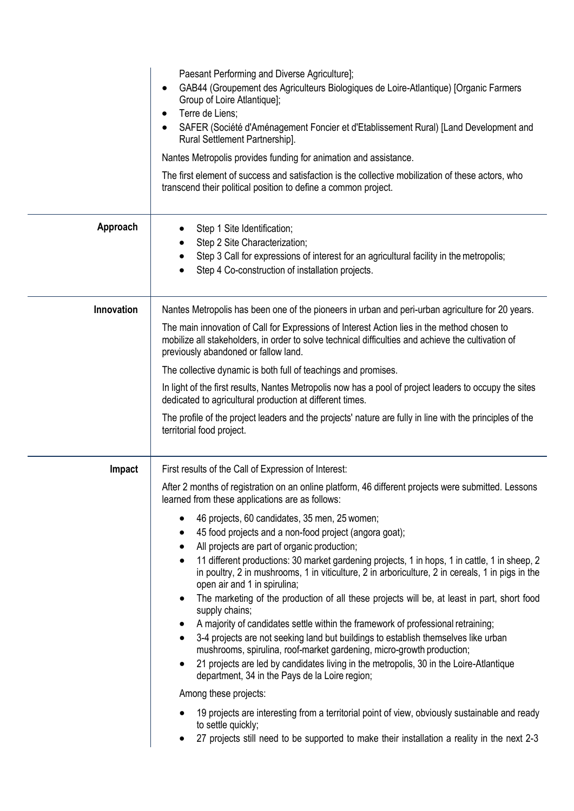|            | Paesant Performing and Diverse Agriculture];<br>GAB44 (Groupement des Agriculteurs Biologiques de Loire-Atlantique) [Organic Farmers<br>Group of Loire Atlantique];<br>Terre de Liens;<br>SAFER (Société d'Aménagement Foncier et d'Etablissement Rural) [Land Development and<br>Rural Settlement Partnership].<br>Nantes Metropolis provides funding for animation and assistance.<br>The first element of success and satisfaction is the collective mobilization of these actors, who<br>transcend their political position to define a common project.                                                                                                                                                                                                                                                                                                                                                                                                                                                                                                                                                                                                                                                                                                                                                                                                                                                                           |
|------------|---------------------------------------------------------------------------------------------------------------------------------------------------------------------------------------------------------------------------------------------------------------------------------------------------------------------------------------------------------------------------------------------------------------------------------------------------------------------------------------------------------------------------------------------------------------------------------------------------------------------------------------------------------------------------------------------------------------------------------------------------------------------------------------------------------------------------------------------------------------------------------------------------------------------------------------------------------------------------------------------------------------------------------------------------------------------------------------------------------------------------------------------------------------------------------------------------------------------------------------------------------------------------------------------------------------------------------------------------------------------------------------------------------------------------------------|
| Approach   | Step 1 Site Identification;<br>Step 2 Site Characterization;<br>Step 3 Call for expressions of interest for an agricultural facility in the metropolis;<br>Step 4 Co-construction of installation projects.                                                                                                                                                                                                                                                                                                                                                                                                                                                                                                                                                                                                                                                                                                                                                                                                                                                                                                                                                                                                                                                                                                                                                                                                                           |
| Innovation | Nantes Metropolis has been one of the pioneers in urban and peri-urban agriculture for 20 years.<br>The main innovation of Call for Expressions of Interest Action lies in the method chosen to<br>mobilize all stakeholders, in order to solve technical difficulties and achieve the cultivation of<br>previously abandoned or fallow land.<br>The collective dynamic is both full of teachings and promises.<br>In light of the first results, Nantes Metropolis now has a pool of project leaders to occupy the sites<br>dedicated to agricultural production at different times.<br>The profile of the project leaders and the projects' nature are fully in line with the principles of the<br>territorial food project.                                                                                                                                                                                                                                                                                                                                                                                                                                                                                                                                                                                                                                                                                                        |
| Impact     | First results of the Call of Expression of Interest:<br>After 2 months of registration on an online platform, 46 different projects were submitted. Lessons<br>learned from these applications are as follows:<br>46 projects, 60 candidates, 35 men, 25 women;<br>٠<br>45 food projects and a non-food project (angora goat);<br>٠<br>All projects are part of organic production;<br>٠<br>11 different productions: 30 market gardening projects, 1 in hops, 1 in cattle, 1 in sheep, 2<br>٠<br>in poultry, 2 in mushrooms, 1 in viticulture, 2 in arboriculture, 2 in cereals, 1 in pigs in the<br>open air and 1 in spirulina;<br>The marketing of the production of all these projects will be, at least in part, short food<br>٠<br>supply chains;<br>A majority of candidates settle within the framework of professional retraining;<br>٠<br>3-4 projects are not seeking land but buildings to establish themselves like urban<br>$\bullet$<br>mushrooms, spirulina, roof-market gardening, micro-growth production;<br>21 projects are led by candidates living in the metropolis, 30 in the Loire-Atlantique<br>$\bullet$<br>department, 34 in the Pays de la Loire region;<br>Among these projects:<br>19 projects are interesting from a territorial point of view, obviously sustainable and ready<br>to settle quickly;<br>27 projects still need to be supported to make their installation a reality in the next 2-3 |